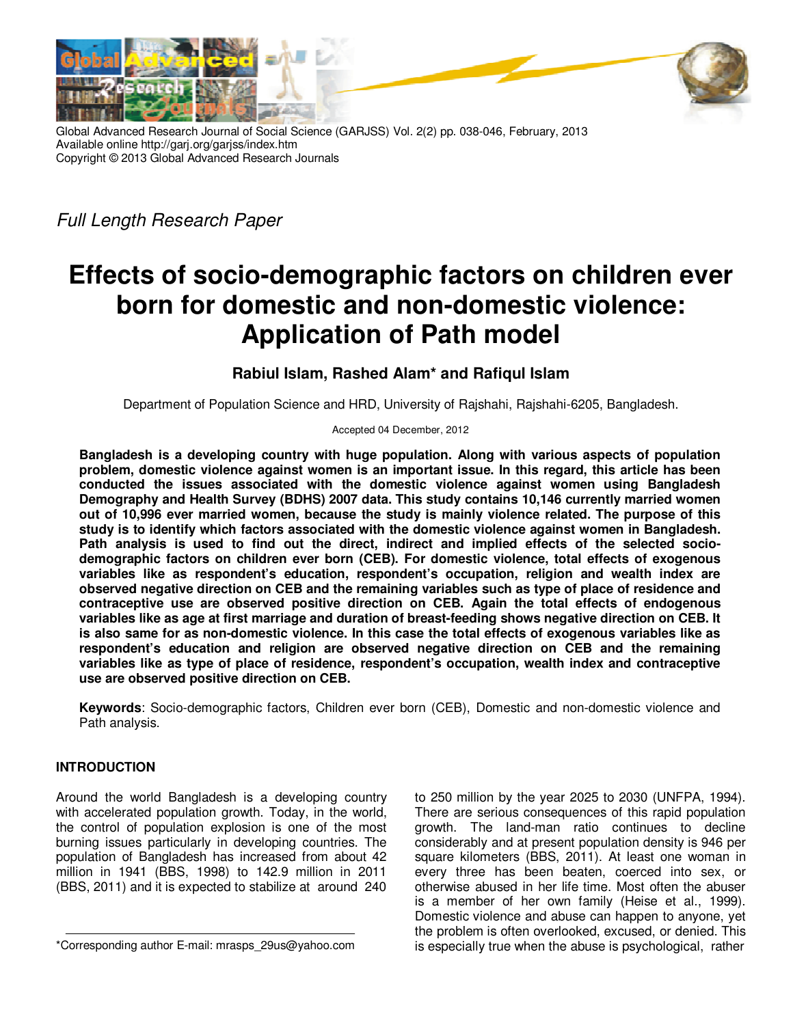

Global Advanced Research Journal of Social Science (GARJSS) Vol. 2(2) pp. 038-046, February, 2013 Available online http://garj.org/garjss/index.htm Copyright © 2013 Global Advanced Research Journals

Full Length Research Paper

# **Effects of socio-demographic factors on children ever born for domestic and non-domestic violence: Application of Path model**

## **Rabiul Islam, Rashed Alam\* and Rafiqul Islam**

Department of Population Science and HRD, University of Rajshahi, Rajshahi-6205, Bangladesh.

Accepted 04 December, 2012

**Bangladesh is a developing country with huge population. Along with various aspects of population problem, domestic violence against women is an important issue. In this regard, this article has been conducted the issues associated with the domestic violence against women using Bangladesh Demography and Health Survey (BDHS) 2007 data. This study contains 10,146 currently married women out of 10,996 ever married women, because the study is mainly violence related. The purpose of this study is to identify which factors associated with the domestic violence against women in Bangladesh. Path analysis is used to find out the direct, indirect and implied effects of the selected sociodemographic factors on children ever born (CEB). For domestic violence, total effects of exogenous variables like as respondent's education, respondent's occupation, religion and wealth index are observed negative direction on CEB and the remaining variables such as type of place of residence and contraceptive use are observed positive direction on CEB. Again the total effects of endogenous variables like as age at first marriage and duration of breast-feeding shows negative direction on CEB. It is also same for as non-domestic violence. In this case the total effects of exogenous variables like as respondent's education and religion are observed negative direction on CEB and the remaining variables like as type of place of residence, respondent's occupation, wealth index and contraceptive use are observed positive direction on CEB.**

**Keywords**: Socio-demographic factors, Children ever born (CEB), Domestic and non-domestic violence and Path analysis.

### **INTRODUCTION**

Around the world Bangladesh is a developing country with accelerated population growth. Today, in the world, the control of population explosion is one of the most burning issues particularly in developing countries. The population of Bangladesh has increased from about 42 million in 1941 (BBS, 1998) to 142.9 million in 2011 (BBS, 2011) and it is expected to stabilize at around 240

to 250 million by the year 2025 to 2030 (UNFPA, 1994). There are serious consequences of this rapid population growth. The land-man ratio continues to decline considerably and at present population density is 946 per square kilometers (BBS, 2011). At least one woman in every three has been beaten, coerced into sex, or otherwise abused in her life time. Most often the abuser is a member of her own family (Heise et al., 1999). Domestic violence and abuse can happen to anyone, yet the problem is often overlooked, excused, or denied. This is especially true when the abuse is psychological, rather

<sup>\*</sup>Corresponding author E-mail: mrasps\_29us@yahoo.com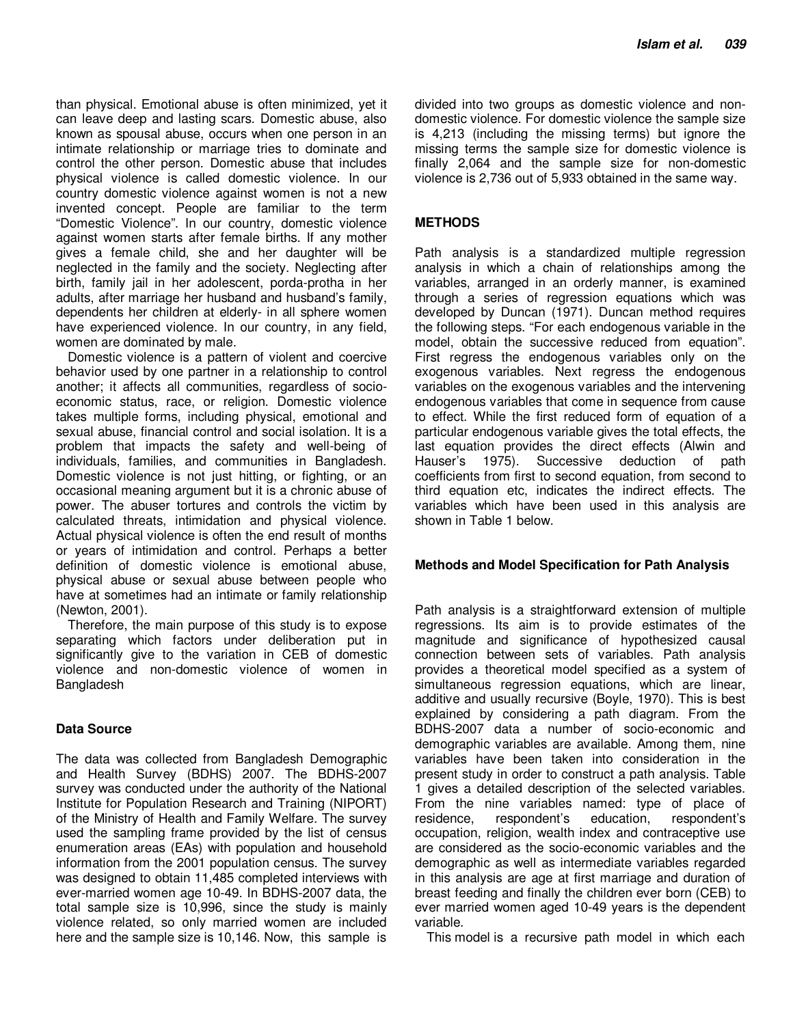than physical. Emotional abuse is often minimized, yet it can leave deep and lasting scars. Domestic abuse, also known as spousal abuse, occurs when one person in an intimate relationship or marriage tries to dominate and control the other person. Domestic abuse that includes physical violence is called domestic violence. In our country domestic violence against women is not a new invented concept. People are familiar to the term "Domestic Violence". In our country, domestic violence against women starts after female births. If any mother gives a female child, she and her daughter will be neglected in the family and the society. Neglecting after birth, family jail in her adolescent, porda-protha in her adults, after marriage her husband and husband's family, dependents her children at elderly- in all sphere women have experienced violence. In our country, in any field, women are dominated by male.

Domestic violence is a pattern of violent and coercive behavior used by one partner in a relationship to control another; it affects all communities, regardless of socioeconomic status, race, or religion. Domestic violence takes multiple forms, including physical, emotional and sexual abuse, financial control and social isolation. It is a problem that impacts the safety and well-being of individuals, families, and communities in Bangladesh. Domestic violence is not just hitting, or fighting, or an occasional meaning argument but it is a chronic abuse of power. The abuser tortures and controls the victim by calculated threats, intimidation and physical violence. Actual physical violence is often the end result of months or years of intimidation and control. Perhaps a better definition of domestic violence is emotional abuse, physical abuse or sexual abuse between people who have at sometimes had an intimate or family relationship (Newton, 2001).

Therefore, the main purpose of this study is to expose separating which factors under deliberation put in significantly give to the variation in CEB of domestic violence and non-domestic violence of women in Bangladesh

#### **Data Source**

The data was collected from Bangladesh Demographic and Health Survey (BDHS) 2007. The BDHS-2007 survey was conducted under the authority of the National Institute for Population Research and Training (NIPORT) of the Ministry of Health and Family Welfare. The survey used the sampling frame provided by the list of census enumeration areas (EAs) with population and household information from the 2001 population census. The survey was designed to obtain 11,485 completed interviews with ever-married women age 10-49. In BDHS-2007 data, the total sample size is 10,996, since the study is mainly violence related, so only married women are included here and the sample size is 10,146. Now, this sample is

divided into two groups as domestic violence and nondomestic violence. For domestic violence the sample size is 4,213 (including the missing terms) but ignore the missing terms the sample size for domestic violence is finally 2,064 and the sample size for non-domestic violence is 2,736 out of 5,933 obtained in the same way.

#### **METHODS**

Path analysis is a standardized multiple regression analysis in which a chain of relationships among the variables, arranged in an orderly manner, is examined through a series of regression equations which was developed by Duncan (1971). Duncan method requires the following steps. "For each endogenous variable in the model, obtain the successive reduced from equation". First regress the endogenous variables only on the exogenous variables. Next regress the endogenous variables on the exogenous variables and the intervening endogenous variables that come in sequence from cause to effect. While the first reduced form of equation of a particular endogenous variable gives the total effects, the last equation provides the direct effects (Alwin and Hauser's 1975). Successive deduction of path coefficients from first to second equation, from second to third equation etc, indicates the indirect effects. The variables which have been used in this analysis are shown in Table 1 below.

#### **Methods and Model Specification for Path Analysis**

Path analysis is a straightforward extension of multiple regressions. Its aim is to provide estimates of the magnitude and significance of hypothesized causal connection between sets of variables. Path analysis provides a theoretical model specified as a system of simultaneous regression equations, which are linear, additive and usually recursive (Boyle, 1970). This is best explained by considering a path diagram. From the BDHS-2007 data a number of socio-economic and demographic variables are available. Among them, nine variables have been taken into consideration in the present study in order to construct a path analysis. Table 1 gives a detailed description of the selected variables. From the nine variables named: type of place of residence, respondent's education, respondent's occupation, religion, wealth index and contraceptive use are considered as the socio-economic variables and the demographic as well as intermediate variables regarded in this analysis are age at first marriage and duration of breast feeding and finally the children ever born (CEB) to ever married women aged 10-49 years is the dependent variable.

This model is a recursive path model in which each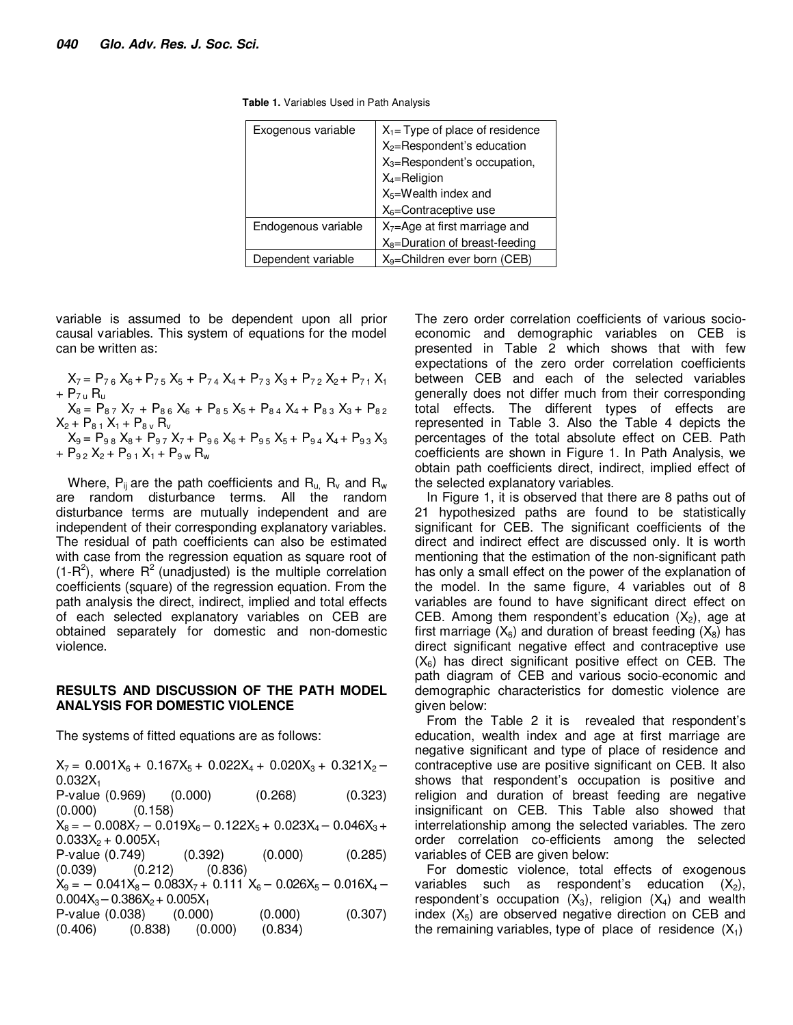| Exogenous variable  | $X_1$ = Type of place of residence         |
|---------------------|--------------------------------------------|
|                     | X <sub>2</sub> =Respondent's education     |
|                     | $X_3$ =Respondent's occupation,            |
|                     | $X_4 =$ Religion                           |
|                     | $X_5 =$ Wealth index and                   |
|                     | $X_6$ =Contraceptive use                   |
| Endogenous variable | X <sub>7</sub> =Age at first marriage and  |
|                     | X <sub>8</sub> =Duration of breast-feeding |
| Dependent variable  | $X_9$ =Children ever born (CEB)            |

**Table 1.** Variables Used in Path Analysis

variable is assumed to be dependent upon all prior causal variables. This system of equations for the model can be written as:

 $X_7 = P_{76} X_6 + P_{75} X_5 + P_{74} X_4 + P_{73} X_3 + P_{72} X_2 + P_{71} X_1$  $+ P_{7}$   $R_{\rm u}$  $X_8 = P_{87} X_7 + P_{86} X_6 + P_{85} X_5 + P_{84} X_4 + P_{83} X_3 + P_{82}$  $X_2 + P_{81} X_1 + P_{8v} R_v$  $X_9 = P_{98} X_8 + P_{97} X_7 + P_{96} X_6 + P_{95} X_5 + P_{94} X_4 + P_{93} X_3$  $+ P_{92} X_2 + P_{91} X_1 + P_{9w} R_w$ 

Where,  $P_{ii}$  are the path coefficients and  $R_{u}$ ,  $R_{v}$  and  $R_{w}$ are random disturbance terms. All the random disturbance terms are mutually independent and are independent of their corresponding explanatory variables. The residual of path coefficients can also be estimated with case from the regression equation as square root of (1-R<sup>2</sup>), where R<sup>2</sup> (unadjusted) is the multiple correlation coefficients (square) of the regression equation. From the path analysis the direct, indirect, implied and total effects of each selected explanatory variables on CEB are obtained separately for domestic and non-domestic violence.

#### **RESULTS AND DISCUSSION OF THE PATH MODEL ANALYSIS FOR DOMESTIC VIOLENCE**

The systems of fitted equations are as follows:

 $X_7 = 0.001X_6 + 0.167X_5 + 0.022X_4 + 0.020X_3 + 0.321X_2 0.032X_1$ P-value (0.969) (0.000) (0.268) (0.323) (0.000) (0.158)  $X_8 = -0.008X_7 - 0.019X_6 - 0.122X_5 + 0.023X_4 - 0.046X_3 +$  $0.033X_2 + 0.005X_1$ P-value (0.749) (0.392) (0.000) (0.285) (0.039) (0.212) (0.836)  $X_9 = -0.041X_8 - 0.083X_7 + 0.111X_6 - 0.026X_5 - 0.016X_4 0.004X_3 - 0.386X_2 + 0.005X_1$ P-value (0.038) (0.000) (0.000) (0.307) (0.406) (0.838) (0.000) (0.834)

The zero order correlation coefficients of various socioeconomic and demographic variables on CEB is presented in Table 2 which shows that with few expectations of the zero order correlation coefficients between CEB and each of the selected variables generally does not differ much from their corresponding total effects. The different types of effects are represented in Table 3. Also the Table 4 depicts the percentages of the total absolute effect on CEB. Path coefficients are shown in Figure 1. In Path Analysis, we obtain path coefficients direct, indirect, implied effect of the selected explanatory variables.

In Figure 1, it is observed that there are 8 paths out of 21 hypothesized paths are found to be statistically significant for CEB. The significant coefficients of the direct and indirect effect are discussed only. It is worth mentioning that the estimation of the non-significant path has only a small effect on the power of the explanation of the model. In the same figure, 4 variables out of 8 variables are found to have significant direct effect on CEB. Among them respondent's education  $(X_2)$ , age at first marriage  $(X_6)$  and duration of breast feeding  $(X_8)$  has direct significant negative effect and contraceptive use  $(X_6)$  has direct significant positive effect on CEB. The path diagram of CEB and various socio-economic and demographic characteristics for domestic violence are given below:

From the Table 2 it is revealed that respondent's education, wealth index and age at first marriage are negative significant and type of place of residence and contraceptive use are positive significant on CEB. It also shows that respondent's occupation is positive and religion and duration of breast feeding are negative insignificant on CEB. This Table also showed that interrelationship among the selected variables. The zero order correlation co-efficients among the selected variables of CEB are given below:

For domestic violence, total effects of exogenous variables such as respondent's education  $(X_2)$ , respondent's occupation  $(X_3)$ , religion  $(X_4)$  and wealth index  $(X_5)$  are observed negative direction on CEB and the remaining variables, type of place of residence  $(X_1)$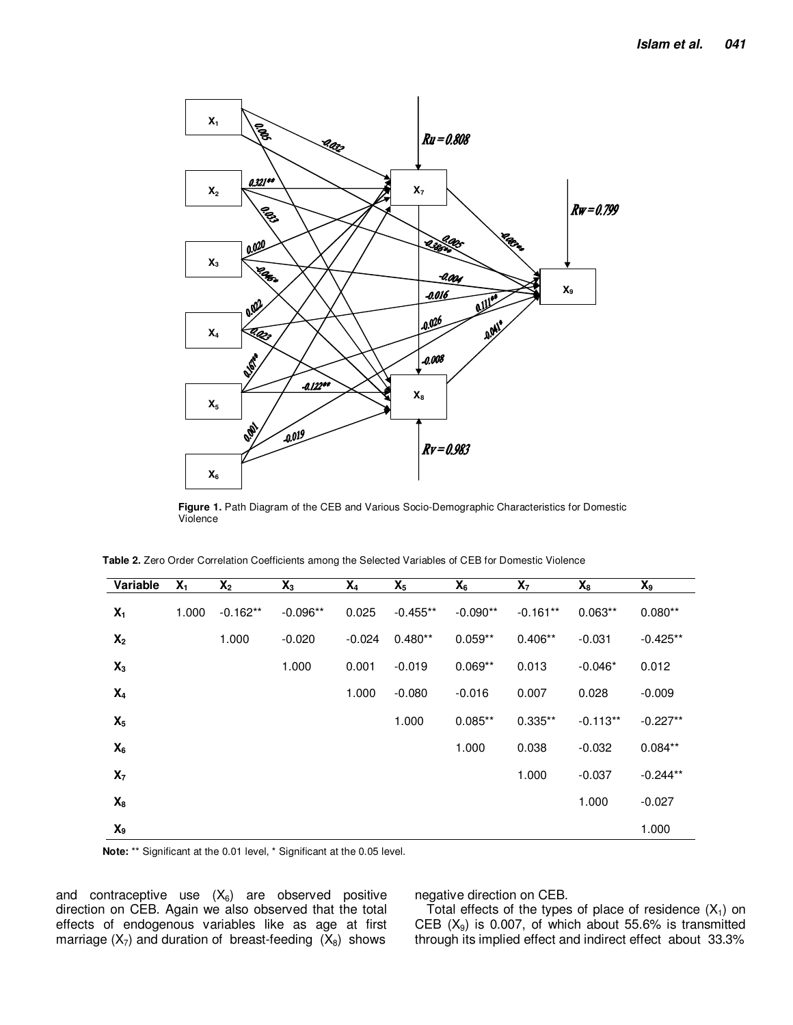

**Figure 1.** Path Diagram of the CEB and Various Socio-Demographic Characteristics for Domestic Violence

|  | Table 2. Zero Order Correlation Coefficients among the Selected Variables of CEB for Domestic Violence |
|--|--------------------------------------------------------------------------------------------------------|
|--|--------------------------------------------------------------------------------------------------------|

| Variable       | $X_1$ | $X_2$      | $\mathsf{X}_3$ | $X_4$    | $X_5$      | $X_6$      | X <sub>7</sub> | $\mathsf{X}_8$ | $\mathsf{X}_9$ |
|----------------|-------|------------|----------------|----------|------------|------------|----------------|----------------|----------------|
| $X_1$          | 1.000 | $-0.162**$ | $-0.096**$     | 0.025    | $-0.455**$ | $-0.090**$ | $-0.161**$     | $0.063**$      | $0.080**$      |
| $X_2$          |       | 1.000      | $-0.020$       | $-0.024$ | $0.480**$  | $0.059**$  | $0.406**$      | $-0.031$       | $-0.425**$     |
| $X_3$          |       |            | 1.000          | 0.001    | $-0.019$   | $0.069**$  | 0.013          | $-0.046*$      | 0.012          |
| $X_4$          |       |            |                | 1.000    | $-0.080$   | $-0.016$   | 0.007          | 0.028          | $-0.009$       |
| $X_5$          |       |            |                |          | 1.000      | $0.085**$  | $0.335**$      | $-0.113**$     | $-0.227**$     |
| $X_6$          |       |            |                |          |            | 1.000      | 0.038          | $-0.032$       | $0.084**$      |
| $X_7$          |       |            |                |          |            |            | 1.000          | $-0.037$       | $-0.244**$     |
| $X_8$          |       |            |                |          |            |            |                | 1.000          | $-0.027$       |
| $\mathsf{X}_9$ |       |            |                |          |            |            |                |                | 1.000          |

**Note:** \*\* Significant at the 0.01 level, \* Significant at the 0.05 level.

and contraceptive use  $(X_6)$  are observed positive direction on CEB. Again we also observed that the total effects of endogenous variables like as age at first marriage  $(X_7)$  and duration of breast-feeding  $(X_8)$  shows

negative direction on CEB.

Total effects of the types of place of residence  $(X_1)$  on CEB  $(X_9)$  is 0.007, of which about 55.6% is transmitted through its implied effect and indirect effect about 33.3%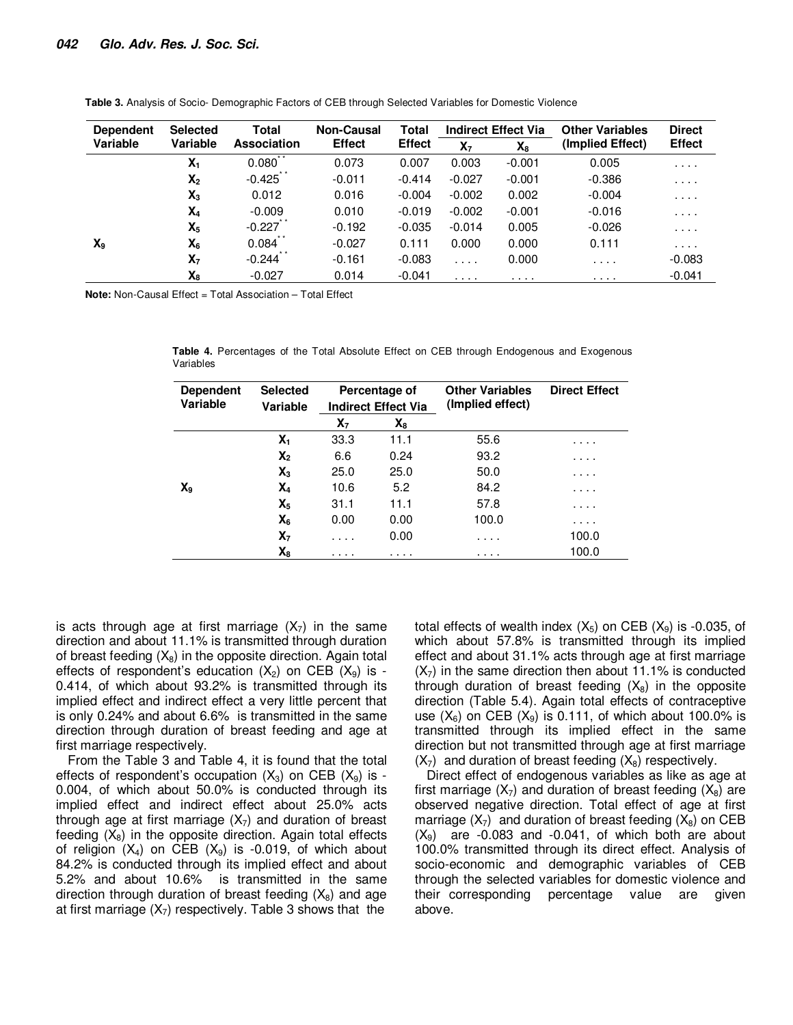| <b>Dependent</b> | <b>Selected</b> | Total           | <b>Non-Causal</b><br><b>Effect</b> | Total         |                | <b>Indirect Effect Via</b> | <b>Other Variables</b><br>(Implied Effect) | <b>Direct</b> |
|------------------|-----------------|-----------------|------------------------------------|---------------|----------------|----------------------------|--------------------------------------------|---------------|
| Variable         | Variable        | Association     |                                    | <b>Effect</b> | X <sub>7</sub> | $X_8$                      |                                            | <b>Effect</b> |
|                  | $X_1$           | $* *$<br>0.080  | 0.073                              | 0.007         | 0.003          | $-0.001$                   | 0.005                                      | .             |
|                  | X <sub>2</sub>  | $-0.425$ *      | $-0.011$                           | $-0.414$      | $-0.027$       | $-0.001$                   | $-0.386$                                   | .             |
|                  | $X_3$           | 0.012           | 0.016                              | $-0.004$      | $-0.002$       | 0.002                      | $-0.004$                                   | .             |
|                  | $X_4$           | $-0.009$        | 0.010                              | $-0.019$      | $-0.002$       | $-0.001$                   | $-0.016$                                   | $\cdots$      |
|                  | $X_5$           | $-0.227$        | $-0.192$                           | $-0.035$      | $-0.014$       | 0.005                      | $-0.026$                                   | .             |
| $X_{9}$          | $X_6$           | 0.084           | $-0.027$                           | 0.111         | 0.000          | 0.000                      | 0.111                                      | .             |
|                  | X <sub>7</sub>  | * *<br>$-0.244$ | $-0.161$                           | $-0.083$      | $\cdots$       | 0.000                      | .                                          | $-0.083$      |
|                  | $X_8$           | $-0.027$        | 0.014                              | $-0.041$      | .              | .                          | .                                          | $-0.041$      |

**Table 3.** Analysis of Socio- Demographic Factors of CEB through Selected Variables for Domestic Violence

**Note:** Non-Causal Effect = Total Association – Total Effect

**Table 4.** Percentages of the Total Absolute Effect on CEB through Endogenous and Exogenous Variables

| <b>Dependent</b><br><b>Variable</b> | <b>Selected</b><br>Variable | Percentage of<br><b>Indirect Effect Via</b> |       | <b>Other Variables</b><br>(Implied effect) |       |
|-------------------------------------|-----------------------------|---------------------------------------------|-------|--------------------------------------------|-------|
|                                     |                             | $\mathbf{X}_7$                              | $X_8$ |                                            |       |
|                                     | $\mathbf{X}_1$              | 33.3                                        | 11.1  | 55.6                                       | .     |
|                                     | $X_2$                       | 6.6                                         | 0.24  | 93.2                                       | .     |
|                                     | $\mathsf{X}_3$              | 25.0                                        | 25.0  | 50.0                                       | .     |
| X <sub>9</sub>                      | X4                          | 10.6                                        | 5.2   | 84.2                                       | .     |
|                                     | $X_5$                       | 31.1                                        | 11.1  | 57.8                                       | .     |
|                                     | $X_6$                       | 0.00                                        | 0.00  | 100.0                                      | .     |
|                                     | X <sub>7</sub>              | .                                           | 0.00  | .                                          | 100.0 |
|                                     | $\mathsf{X}_8$              | .                                           | .     | .                                          | 100.0 |

is acts through age at first marriage  $(X_7)$  in the same direction and about 11.1% is transmitted through duration of breast feeding  $(X_8)$  in the opposite direction. Again total effects of respondent's education  $(X_2)$  on CEB  $(X_9)$  is -0.414, of which about 93.2% is transmitted through its implied effect and indirect effect a very little percent that is only 0.24% and about 6.6% is transmitted in the same direction through duration of breast feeding and age at first marriage respectively.

From the Table 3 and Table 4, it is found that the total effects of respondent's occupation  $(X_3)$  on CEB  $(X_9)$  is -0.004, of which about 50.0% is conducted through its implied effect and indirect effect about 25.0% acts through age at first marriage  $(X<sub>7</sub>)$  and duration of breast feeding  $(X_8)$  in the opposite direction. Again total effects of religion  $(X_4)$  on CEB  $(X_9)$  is -0.019, of which about 84.2% is conducted through its implied effect and about 5.2% and about 10.6% is transmitted in the same direction through duration of breast feeding  $(X_8)$  and age at first marriage  $(X_7)$  respectively. Table 3 shows that the

total effects of wealth index  $(X_5)$  on CEB  $(X_9)$  is -0.035, of which about 57.8% is transmitted through its implied effect and about 31.1% acts through age at first marriage  $(X<sub>7</sub>)$  in the same direction then about 11.1% is conducted through duration of breast feeding  $(X_8)$  in the opposite direction (Table 5.4). Again total effects of contraceptive use  $(X_6)$  on CEB  $(X_9)$  is 0.111, of which about 100.0% is transmitted through its implied effect in the same direction but not transmitted through age at first marriage  $(X<sub>7</sub>)$  and duration of breast feeding  $(X<sub>8</sub>)$  respectively.

Direct effect of endogenous variables as like as age at first marriage  $(X_7)$  and duration of breast feeding  $(X_8)$  are observed negative direction. Total effect of age at first marriage  $(X_7)$  and duration of breast feeding  $(X_8)$  on CEB  $(X_9)$  are -0.083 and -0.041, of which both are about 100.0% transmitted through its direct effect. Analysis of socio-economic and demographic variables of CEB through the selected variables for domestic violence and their corresponding percentage value are given above.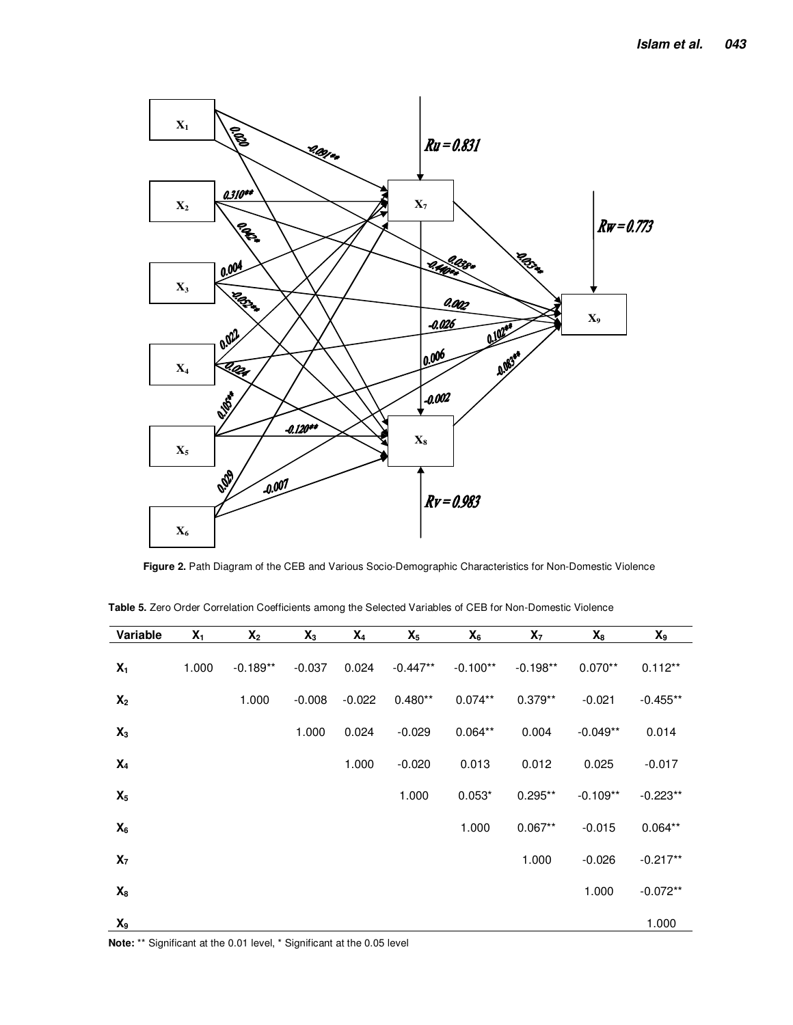

**Figure 2.** Path Diagram of the CEB and Various Socio-Demographic Characteristics for Non-Domestic Violence

| Variable       | $X_1$ | $X_2$      | $X_3$    | $X_4$    | $X_5$      | $X_6$      | $X_7$      | $X_8$      | $\chi_{9}$ |
|----------------|-------|------------|----------|----------|------------|------------|------------|------------|------------|
| $X_1$          | 1.000 | $-0.189**$ | $-0.037$ | 0.024    | $-0.447**$ | $-0.100**$ | $-0.198**$ | $0.070**$  | $0.112**$  |
| X <sub>2</sub> |       | 1.000      | $-0.008$ | $-0.022$ | $0.480**$  | $0.074**$  | $0.379**$  | $-0.021$   | $-0.455**$ |
| $X_3$          |       |            | 1.000    | 0.024    | $-0.029$   | $0.064**$  | 0.004      | $-0.049**$ | 0.014      |
| $X_4$          |       |            |          | 1.000    | $-0.020$   | 0.013      | 0.012      | 0.025      | $-0.017$   |
| $X_5$          |       |            |          |          | 1.000      | $0.053*$   | $0.295**$  | $-0.109**$ | $-0.223**$ |
| $X_6$          |       |            |          |          |            | 1.000      | $0.067**$  | $-0.015$   | $0.064**$  |
| $X_7$          |       |            |          |          |            |            | 1.000      | $-0.026$   | $-0.217**$ |
| $X_8$          |       |            |          |          |            |            |            | 1.000      | $-0.072**$ |
| $\mathbf{X}_9$ |       |            |          |          |            |            |            |            | 1.000      |

**Table 5.** Zero Order Correlation Coefficients among the Selected Variables of CEB for Non-Domestic Violence

**Note:** \*\* Significant at the 0.01 level, \* Significant at the 0.05 level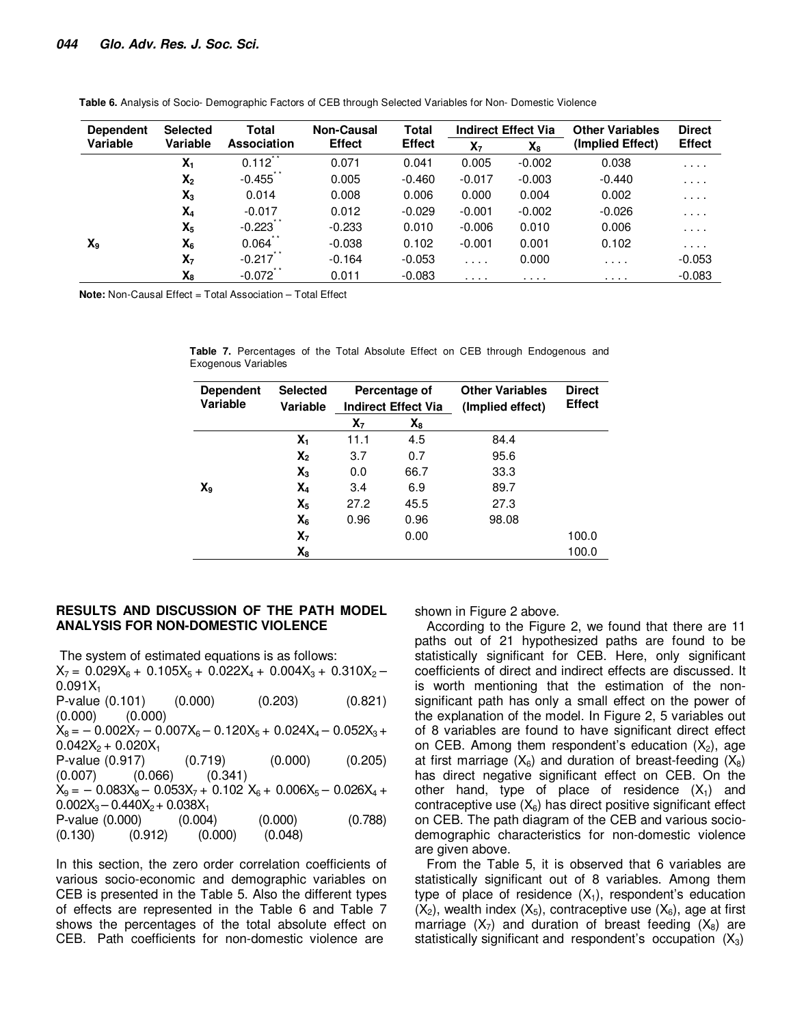| <b>Dependent</b> | <b>Selected</b> | Total              | <b>Non-Causal</b> | <b>Total</b>  |                | <b>Indirect Effect Via</b> | <b>Other Variables</b> | <b>Direct</b> |
|------------------|-----------------|--------------------|-------------------|---------------|----------------|----------------------------|------------------------|---------------|
| Variable         | Variable        | <b>Association</b> | <b>Effect</b>     | <b>Effect</b> | X <sub>7</sub> | $X_8$                      | (Implied Effect)       | <b>Effect</b> |
|                  | $X_1$           | $* *$<br>0.112     | 0.071             | 0.041         | 0.005          | $-0.002$                   | 0.038                  | .             |
|                  | X <sub>2</sub>  | $-0.455$           | 0.005             | $-0.460$      | $-0.017$       | $-0.003$                   | $-0.440$               | .             |
|                  | $X_3$           | 0.014              | 0.008             | 0.006         | 0.000          | 0.004                      | 0.002                  | .             |
|                  | $X_4$           | $-0.017$           | 0.012             | $-0.029$      | $-0.001$       | $-0.002$                   | $-0.026$               | $\cdots$      |
|                  | $X_5$           | $-0.223$           | $-0.233$          | 0.010         | $-0.006$       | 0.010                      | 0.006                  | $\cdots$      |
| $X_9$            | $X_6$           | 0.064              | $-0.038$          | 0.102         | $-0.001$       | 0.001                      | 0.102                  | $\cdots$      |
|                  | $X_7$           | $-0.217$           | $-0.164$          | $-0.053$      | $\cdots$       | 0.000                      | .                      | $-0.053$      |
|                  | $X_8$           | $-0.072$           | 0.011             | $-0.083$      | .              | .                          | .                      | $-0.083$      |

**Table 6.** Analysis of Socio- Demographic Factors of CEB through Selected Variables for Non- Domestic Violence

**Note:** Non-Causal Effect = Total Association – Total Effect

**Table 7.** Percentages of the Total Absolute Effect on CEB through Endogenous and Exogenous Variables

| <b>Dependent</b><br>Variable | <b>Selected</b><br>Variable | Percentage of<br><b>Indirect Effect Via</b><br>X <sub>7</sub><br>X8 |      | <b>Other Variables</b><br>(Implied effect) |       | <b>Direct</b><br><b>Effect</b> |
|------------------------------|-----------------------------|---------------------------------------------------------------------|------|--------------------------------------------|-------|--------------------------------|
|                              |                             |                                                                     |      |                                            |       |                                |
|                              | Χ,                          | 11.1                                                                | 4.5  | 84.4                                       |       |                                |
|                              | $X_2$                       | 3.7                                                                 | 0.7  | 95.6                                       |       |                                |
|                              | $X_3$                       | 0.0                                                                 | 66.7 | 33.3                                       |       |                                |
| $X_9$                        | X <sub>4</sub>              | 3.4                                                                 | 6.9  | 89.7                                       |       |                                |
|                              | $X_5$                       | 27.2                                                                | 45.5 | 27.3                                       |       |                                |
|                              | $X_6$                       | 0.96                                                                | 0.96 | 98.08                                      |       |                                |
|                              | X <sub>7</sub>              |                                                                     | 0.00 |                                            | 100.0 |                                |
|                              | X8                          |                                                                     |      |                                            | 100.0 |                                |

#### **RESULTS AND DISCUSSION OF THE PATH MODEL ANALYSIS FOR NON-DOMESTIC VIOLENCE**

The system of estimated equations is as follows:

 $X_7 = 0.029X_6 + 0.105X_5 + 0.022X_4 + 0.004X_3 + 0.310X_2 0.091X_1$ P-value (0.101) (0.000) (0.203) (0.821) (0.000) (0.000)  $X_8 = -0.002X_7 - 0.007X_6 - 0.120X_5 + 0.024X_4 - 0.052X_3 +$  $0.042X_2 + 0.020X_1$ P-value (0.917) (0.719) (0.000) (0.205) (0.007) (0.066) (0.341)  $X_9 = -0.083X_8 - 0.053X_7 + 0.102 X_6 + 0.006X_5 - 0.026X_4 +$  $0.002X_3 - 0.440X_2 + 0.038X_1$ P-value (0.000) (0.004) (0.000) (0.788) (0.130) (0.912) (0.000) (0.048)

In this section, the zero order correlation coefficients of various socio-economic and demographic variables on CEB is presented in the Table 5. Also the different types of effects are represented in the Table 6 and Table 7 shows the percentages of the total absolute effect on CEB. Path coefficients for non-domestic violence are

shown in Figure 2 above.

According to the Figure 2, we found that there are 11 paths out of 21 hypothesized paths are found to be statistically significant for CEB. Here, only significant coefficients of direct and indirect effects are discussed. It is worth mentioning that the estimation of the nonsignificant path has only a small effect on the power of the explanation of the model. In Figure 2, 5 variables out of 8 variables are found to have significant direct effect on CEB. Among them respondent's education  $(X_2)$ , age at first marriage  $(X_6)$  and duration of breast-feeding  $(X_8)$ has direct negative significant effect on CEB. On the other hand, type of place of residence  $(X_1)$  and contraceptive use  $(X_6)$  has direct positive significant effect on CEB. The path diagram of the CEB and various sociodemographic characteristics for non-domestic violence are given above.

From the Table 5, it is observed that 6 variables are statistically significant out of 8 variables. Among them type of place of residence  $(X_1)$ , respondent's education  $(X_2)$ , wealth index  $(X_5)$ , contraceptive use  $(X_6)$ , age at first marriage  $(X_7)$  and duration of breast feeding  $(X_8)$  are statistically significant and respondent's occupation  $(X_3)$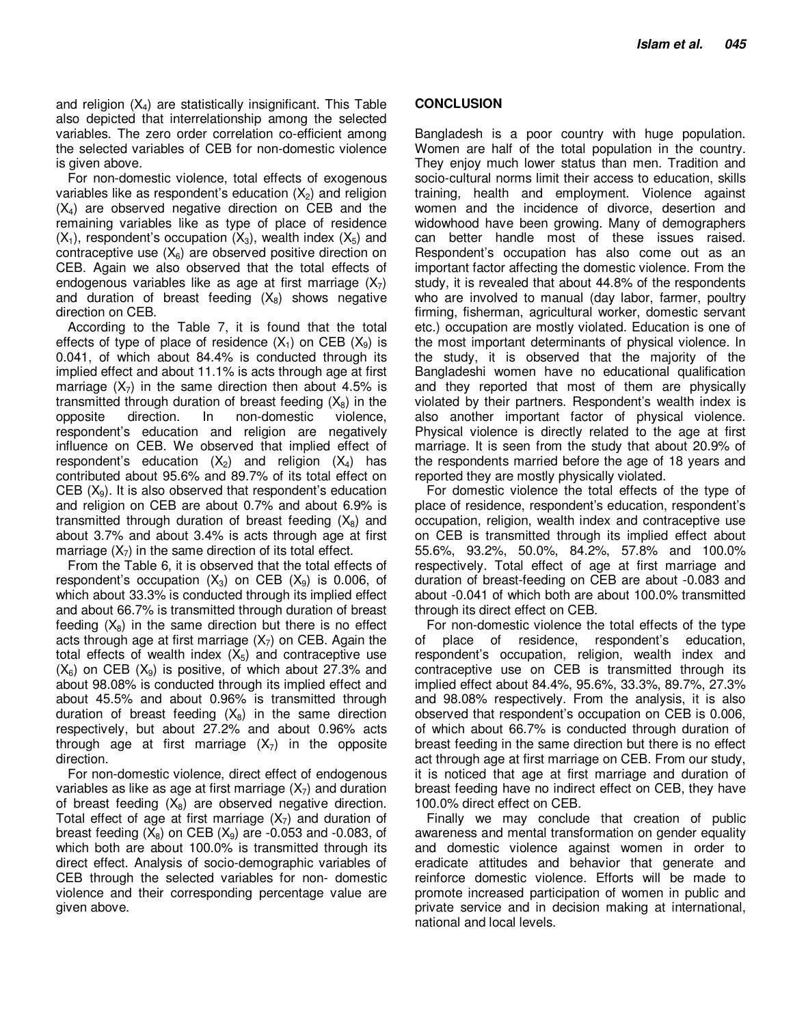and religion  $(X_4)$  are statistically insignificant. This Table also depicted that interrelationship among the selected variables. The zero order correlation co-efficient among the selected variables of CEB for non-domestic violence is given above.

For non-domestic violence, total effects of exogenous variables like as respondent's education  $(X_2)$  and religion  $(X_4)$  are observed negative direction on CEB and the remaining variables like as type of place of residence  $(X_1)$ , respondent's occupation  $(X_3)$ , wealth index  $(X_5)$  and contraceptive use  $(X_6)$  are observed positive direction on CEB. Again we also observed that the total effects of endogenous variables like as age at first marriage  $(X_7)$ and duration of breast feeding  $(X_8)$  shows negative direction on CEB.

According to the Table 7, it is found that the total effects of type of place of residence  $(X_1)$  on CEB  $(X_9)$  is 0.041, of which about 84.4% is conducted through its implied effect and about 11.1% is acts through age at first marriage  $(X_7)$  in the same direction then about 4.5% is transmitted through duration of breast feeding  $(X_8)$  in the opposite direction. In non-domestic violence, respondent's education and religion are negatively influence on CEB. We observed that implied effect of respondent's education  $(X_2)$  and religion  $(X_4)$  has contributed about 95.6% and 89.7% of its total effect on CEB  $(X_9)$ . It is also observed that respondent's education and religion on CEB are about 0.7% and about 6.9% is transmitted through duration of breast feeding  $(X_8)$  and about 3.7% and about 3.4% is acts through age at first marriage  $(X<sub>7</sub>)$  in the same direction of its total effect.

From the Table 6, it is observed that the total effects of respondent's occupation  $(X_3)$  on CEB  $(X_9)$  is 0.006, of which about 33.3% is conducted through its implied effect and about 66.7% is transmitted through duration of breast feeding  $(X_8)$  in the same direction but there is no effect acts through age at first marriage  $(X_7)$  on CEB. Again the total effects of wealth index  $(X_5)$  and contraceptive use  $(X_6)$  on CEB  $(X_9)$  is positive, of which about 27.3% and about 98.08% is conducted through its implied effect and about 45.5% and about 0.96% is transmitted through duration of breast feeding  $(X_8)$  in the same direction respectively, but about 27.2% and about 0.96% acts through age at first marriage  $(X<sub>7</sub>)$  in the opposite direction.

For non-domestic violence, direct effect of endogenous variables as like as age at first marriage  $(X<sub>7</sub>)$  and duration of breast feeding  $(X_8)$  are observed negative direction. Total effect of age at first marriage  $(X<sub>7</sub>)$  and duration of breast feeding  $(X_8)$  on CEB  $(X_9)$  are -0.053 and -0.083, of which both are about 100.0% is transmitted through its direct effect. Analysis of socio-demographic variables of CEB through the selected variables for non- domestic violence and their corresponding percentage value are given above.

#### **CONCLUSION**

Bangladesh is a poor country with huge population. Women are half of the total population in the country. They enjoy much lower status than men. Tradition and socio-cultural norms limit their access to education, skills training, health and employment. Violence against women and the incidence of divorce, desertion and widowhood have been growing. Many of demographers can better handle most of these issues raised. Respondent's occupation has also come out as an important factor affecting the domestic violence. From the study, it is revealed that about 44.8% of the respondents who are involved to manual (day labor, farmer, poultry firming, fisherman, agricultural worker, domestic servant etc.) occupation are mostly violated. Education is one of the most important determinants of physical violence. In the study, it is observed that the majority of the Bangladeshi women have no educational qualification and they reported that most of them are physically violated by their partners. Respondent's wealth index is also another important factor of physical violence. Physical violence is directly related to the age at first marriage. It is seen from the study that about 20.9% of the respondents married before the age of 18 years and reported they are mostly physically violated.

For domestic violence the total effects of the type of place of residence, respondent's education, respondent's occupation, religion, wealth index and contraceptive use on CEB is transmitted through its implied effect about 55.6%, 93.2%, 50.0%, 84.2%, 57.8% and 100.0% respectively. Total effect of age at first marriage and duration of breast-feeding on CEB are about -0.083 and about -0.041 of which both are about 100.0% transmitted through its direct effect on CEB.

For non-domestic violence the total effects of the type of place of residence, respondent's education, respondent's occupation, religion, wealth index and contraceptive use on CEB is transmitted through its implied effect about 84.4%, 95.6%, 33.3%, 89.7%, 27.3% and 98.08% respectively. From the analysis, it is also observed that respondent's occupation on CEB is 0.006, of which about 66.7% is conducted through duration of breast feeding in the same direction but there is no effect act through age at first marriage on CEB. From our study, it is noticed that age at first marriage and duration of breast feeding have no indirect effect on CEB, they have 100.0% direct effect on CEB.

Finally we may conclude that creation of public awareness and mental transformation on gender equality and domestic violence against women in order to eradicate attitudes and behavior that generate and reinforce domestic violence. Efforts will be made to promote increased participation of women in public and private service and in decision making at international, national and local levels.